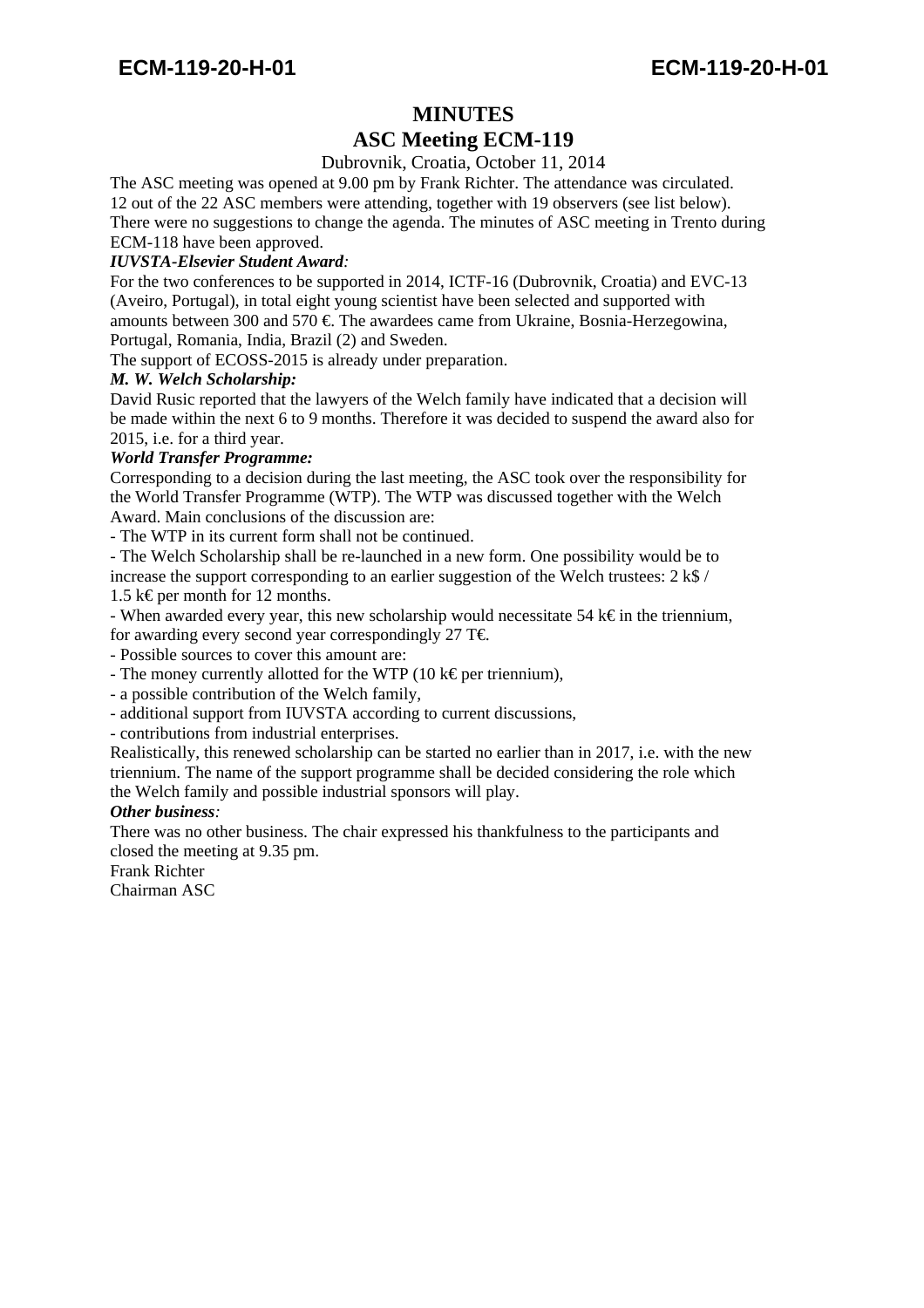# **MINUTES ASC Meeting ECM-119**

## Dubrovnik, Croatia, October 11, 2014

The ASC meeting was opened at 9.00 pm by Frank Richter. The attendance was circulated. 12 out of the 22 ASC members were attending, together with 19 observers (see list below). There were no suggestions to change the agenda. The minutes of ASC meeting in Trento during

## ECM-118 have been approved.

## *IUVSTA-Elsevier Student Award:*

For the two conferences to be supported in 2014, ICTF-16 (Dubrovnik, Croatia) and EVC-13 (Aveiro, Portugal), in total eight young scientist have been selected and supported with amounts between 300 and 570  $\epsilon$ . The awardees came from Ukraine, Bosnia-Herzegowina, Portugal, Romania, India, Brazil (2) and Sweden.

The support of ECOSS-2015 is already under preparation.

#### *M. W. Welch Scholarship:*

David Rusic reported that the lawyers of the Welch family have indicated that a decision will be made within the next 6 to 9 months. Therefore it was decided to suspend the award also for 2015, i.e. for a third year.

#### *World Transfer Programme:*

Corresponding to a decision during the last meeting, the ASC took over the responsibility for the World Transfer Programme (WTP). The WTP was discussed together with the Welch Award. Main conclusions of the discussion are:

- The WTP in its current form shall not be continued.

- The Welch Scholarship shall be re-launched in a new form. One possibility would be to increase the support corresponding to an earlier suggestion of the Welch trustees: 2 k\$ /

1.5 k€ per month for 12 months.

- When awarded every year, this new scholarship would necessitate 54 k $\epsilon$  in the triennium, for awarding every second year correspondingly 27 T $\epsilon$ .

- Possible sources to cover this amount are:

- The money currently allotted for the WTP (10 k€ per triennium),

- a possible contribution of the Welch family,

- additional support from IUVSTA according to current discussions,

- contributions from industrial enterprises.

Realistically, this renewed scholarship can be started no earlier than in 2017, i.e. with the new triennium. The name of the support programme shall be decided considering the role which the Welch family and possible industrial sponsors will play.

#### *Other business:*

There was no other business. The chair expressed his thankfulness to the participants and closed the meeting at 9.35 pm.

Frank Richter

Chairman ASC